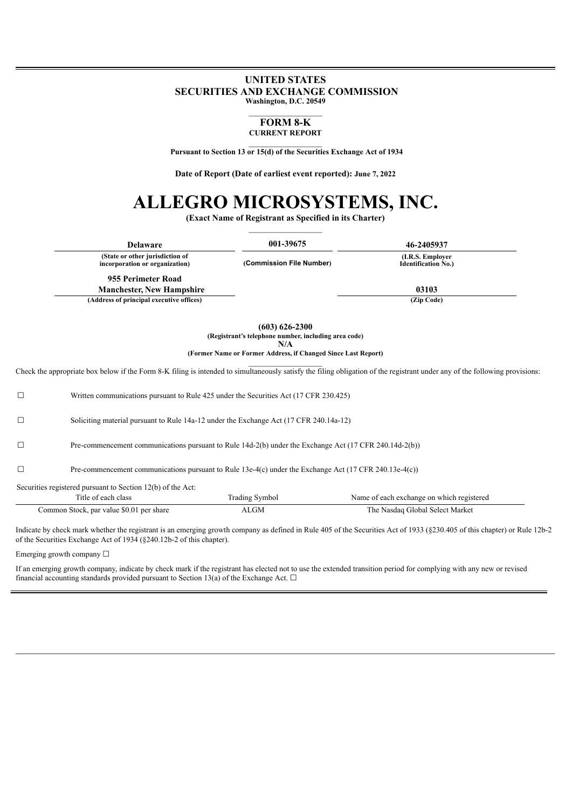# **UNITED STATES SECURITIES AND EXCHANGE COMMISSION Washington, D.C. 20549**

#### **FORM 8-K CURRENT REPORT**

**Pursuant to Section 13 or 15(d) of the Securities Exchange Act of 1934**

**Date of Report (Date of earliest event reported): June 7, 2022**

# **ALLEGRO MICROSYSTEMS, INC.**

**(Exact Name of Registrant as Specified in its Charter)**

| <b>Delaware</b>                                                   | 001-39675                                           | 46-2405937                                      |
|-------------------------------------------------------------------|-----------------------------------------------------|-------------------------------------------------|
| (State or other jurisdiction of<br>incorporation or organization) | (Commission File Number)                            | (I.R.S. Employer)<br><b>Identification No.)</b> |
| 955 Perimeter Road                                                |                                                     |                                                 |
| <b>Manchester, New Hampshire</b>                                  |                                                     | 03103                                           |
| (Address of principal executive offices)                          |                                                     | (Zip Code)                                      |
|                                                                   | $(603) 626 - 2300$                                  |                                                 |
|                                                                   | (Degistrant's telephone number including area eads) |                                                 |

 $($ Registrant's **teleph N/A (Former Name or Former Address, if Changed Since Last Report)**

 $\mathcal{L}_\text{max}$ 

Check the appropriate box below if the Form 8-K filing is intended to simultaneously satisfy the filing obligation of the registrant under any of the following provisions:

|        |                                                                                                        |                                      | Indicate by check mark whether the registrant is an emerging growth company as defined in Rule 405 of the Securities Act of 1933 (§230.405 of this chapter) or Rule 12b-2 |  |
|--------|--------------------------------------------------------------------------------------------------------|--------------------------------------|---------------------------------------------------------------------------------------------------------------------------------------------------------------------------|--|
|        | Title of each class<br>Common Stock, par value \$0.01 per share                                        | <b>Trading Symbol</b><br><b>ALGM</b> | Name of each exchange on which registered<br>The Nasdaq Global Select Market                                                                                              |  |
|        | Securities registered pursuant to Section 12(b) of the Act:                                            |                                      |                                                                                                                                                                           |  |
| $\Box$ | Pre-commencement communications pursuant to Rule 13e-4(c) under the Exchange Act (17 CFR 240.13e-4(c)) |                                      |                                                                                                                                                                           |  |
| $\Box$ | Pre-commencement communications pursuant to Rule 14d-2(b) under the Exchange Act (17 CFR 240.14d-2(b)) |                                      |                                                                                                                                                                           |  |
| $\Box$ | Soliciting material pursuant to Rule 14a-12 under the Exchange Act (17 CFR 240.14a-12)                 |                                      |                                                                                                                                                                           |  |
| $\Box$ | Written communications pursuant to Rule 425 under the Securities Act (17 CFR 230.425)                  |                                      |                                                                                                                                                                           |  |

Emerging growth company  $\Box$ 

If an emerging growth company, indicate by check mark if the registrant has elected not to use the extended transition period for complying with any new or revised financial accounting standards provided pursuant to Section 13(a) of the Exchange Act.  $\Box$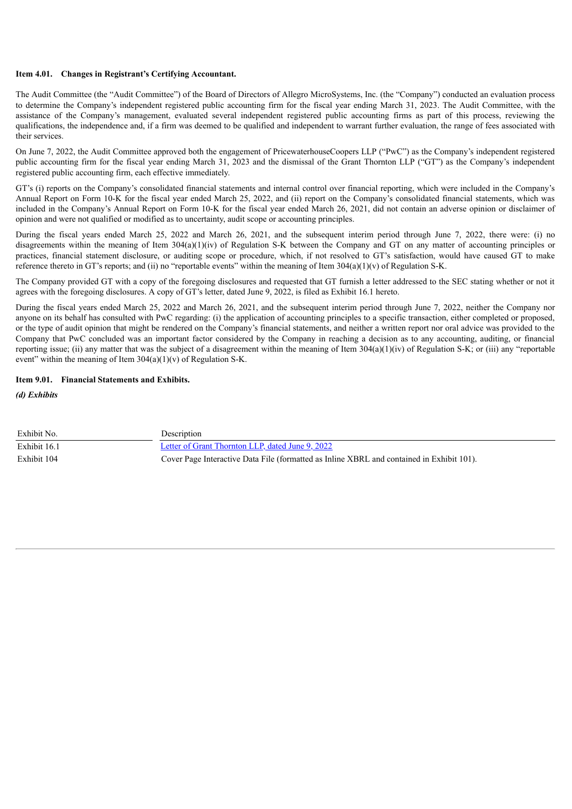#### **Item 4.01. Changes in Registrant's Certifying Accountant.**

The Audit Committee (the "Audit Committee") of the Board of Directors of Allegro MicroSystems, Inc. (the "Company") conducted an evaluation process to determine the Company's independent registered public accounting firm for the fiscal year ending March 31, 2023. The Audit Committee, with the assistance of the Company's management, evaluated several independent registered public accounting firms as part of this process, reviewing the qualifications, the independence and, if a firm was deemed to be qualified and independent to warrant further evaluation, the range of fees associated with their services.

On June 7, 2022, the Audit Committee approved both the engagement of PricewaterhouseCoopers LLP ("PwC") as the Company's independent registered public accounting firm for the fiscal year ending March 31, 2023 and the dismissal of the Grant Thornton LLP ("GT") as the Company's independent registered public accounting firm, each effective immediately.

GT's (i) reports on the Company's consolidated financial statements and internal control over financial reporting, which were included in the Company's Annual Report on Form 10-K for the fiscal year ended March 25, 2022, and (ii) report on the Company's consolidated financial statements, which was included in the Company's Annual Report on Form 10-K for the fiscal year ended March 26, 2021, did not contain an adverse opinion or disclaimer of opinion and were not qualified or modified as to uncertainty, audit scope or accounting principles.

During the fiscal years ended March 25, 2022 and March 26, 2021, and the subsequent interim period through June 7, 2022, there were: (i) no disagreements within the meaning of Item 304(a)(1)(iv) of Regulation S-K between the Company and GT on any matter of accounting principles or practices, financial statement disclosure, or auditing scope or procedure, which, if not resolved to GT's satisfaction, would have caused GT to make reference thereto in GT's reports; and (ii) no "reportable events" within the meaning of Item  $304(a)(1)(v)$  of Regulation S-K.

The Company provided GT with a copy of the foregoing disclosures and requested that GT furnish a letter addressed to the SEC stating whether or not it agrees with the foregoing disclosures. A copy of GT's letter, dated June 9, 2022, is filed as Exhibit 16.1 hereto.

During the fiscal years ended March 25, 2022 and March 26, 2021, and the subsequent interim period through June 7, 2022, neither the Company nor anyone on its behalf has consulted with PwC regarding: (i) the application of accounting principles to a specific transaction, either completed or proposed, or the type of audit opinion that might be rendered on the Company's financial statements, and neither a written report nor oral advice was provided to the Company that PwC concluded was an important factor considered by the Company in reaching a decision as to any accounting, auditing, or financial reporting issue; (ii) any matter that was the subject of a disagreement within the meaning of Item  $304(a)(1)(iv)$  of Regulation S-K; or (iii) any "reportable event" within the meaning of Item  $304(a)(1)(v)$  of Regulation S-K.

# **Item 9.01. Financial Statements and Exhibits.**

*(d) Exhibits*

| Exhibit No.  | Description                                                                               |
|--------------|-------------------------------------------------------------------------------------------|
| Exhibit 16.1 | Letter of Grant Thornton LLP, dated June 9, 2022                                          |
| Exhibit 104  | Cover Page Interactive Data File (formatted as Inline XBRL and contained in Exhibit 101). |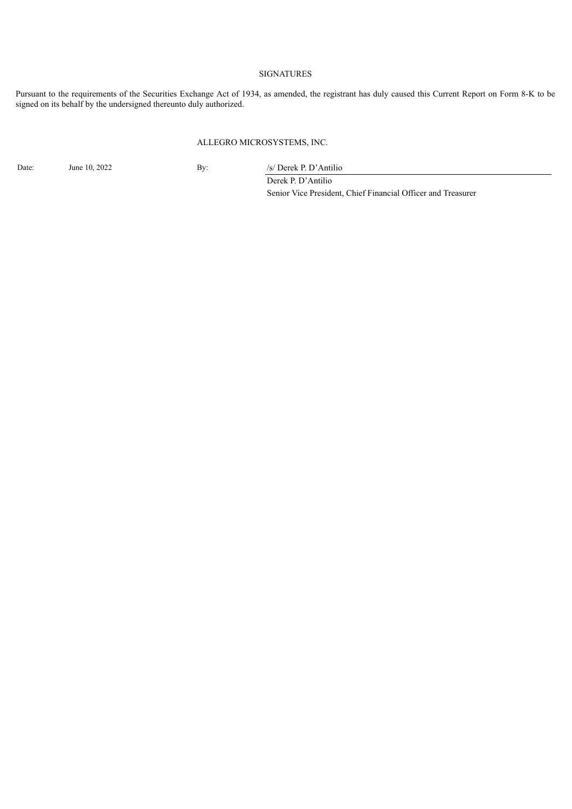# SIGNATURES

Pursuant to the requirements of the Securities Exchange Act of 1934, as amended, the registrant has duly caused this Current Report on Form 8-K to be signed on its behalf by the undersigned thereunto duly authorized.

## ALLEGRO MICROSYSTEMS, INC.

Date: June 10, 2022 By: /s/ Derek P. D'Antilio Derek P. D'Antilio

Senior Vice President, Chief Financial Officer and Treasurer